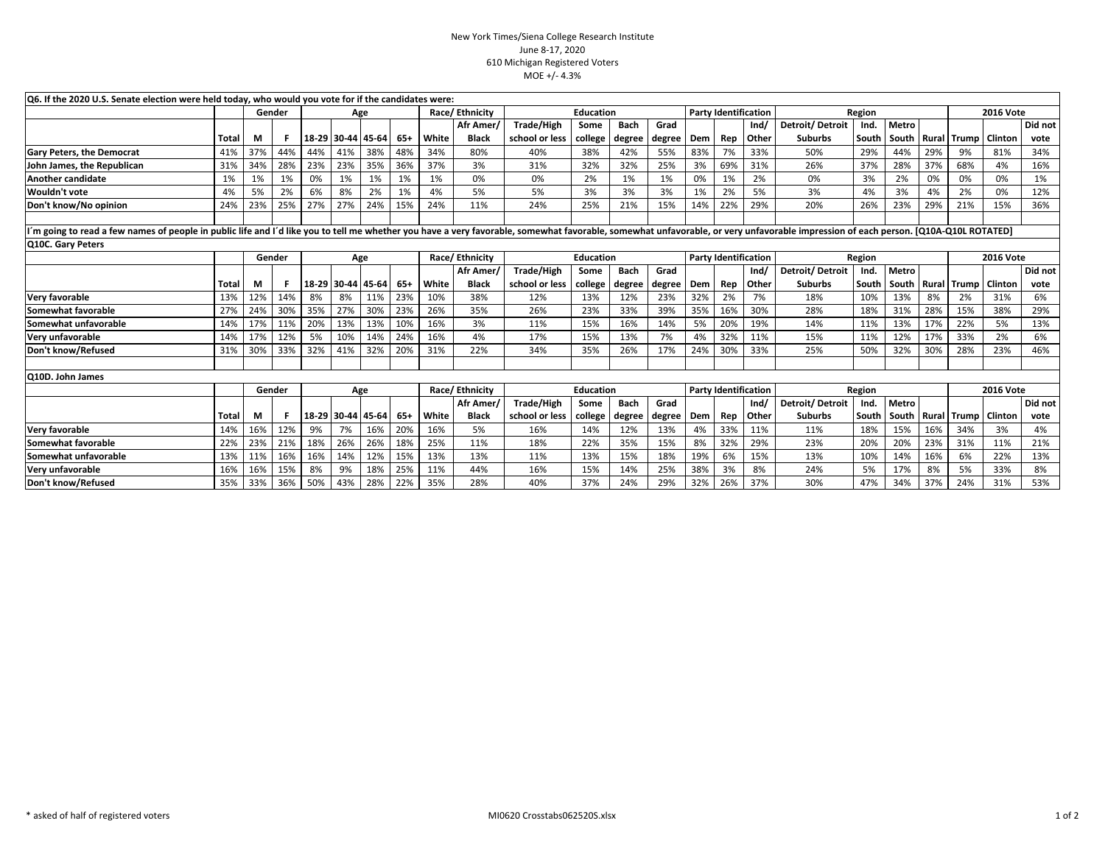## New York Times/Siena College Research InstituteJune 8-17, 2020 610 Michigan Registered VotersMOE +/- 4.3%

| Q6. If the 2020 U.S. Senate election were held today, who would you vote for if the candidates were:                                                                                                                           |       |               |     |     |     |                   |                |                  |              |                |                             |             |                             |                             |     |              |                  |       |                       |                  |                  |                |         |
|--------------------------------------------------------------------------------------------------------------------------------------------------------------------------------------------------------------------------------|-------|---------------|-----|-----|-----|-------------------|----------------|------------------|--------------|----------------|-----------------------------|-------------|-----------------------------|-----------------------------|-----|--------------|------------------|-------|-----------------------|------------------|------------------|----------------|---------|
|                                                                                                                                                                                                                                |       | Gender        |     | Age |     |                   |                | Race/Ethnicity   |              | Education      |                             |             | <b>Party Identification</b> |                             |     | Region       |                  |       |                       | <b>2016 Vote</b> |                  |                |         |
|                                                                                                                                                                                                                                |       |               |     |     |     |                   |                |                  | Afr Amer     | Trade/High     | Some                        | <b>Bach</b> | Grad                        |                             |     | Ind/         | Detroit/Detroit  | Ind.  | <b>Metro</b>          |                  |                  |                | Did not |
|                                                                                                                                                                                                                                | Total | М             |     |     |     | 18-29 30-44 45-64 | -65            | White            | <b>Black</b> | school or less | college                     | degree      | degree                      | Dem                         | Rep | Other        | <b>Suburbs</b>   | South | South                 | Rural            | <b>Trump</b>     | <b>Clinton</b> | vote    |
| <b>Gary Peters, the Democrat</b>                                                                                                                                                                                               | 41%   | 37%           | 44% | 44% | 41% | 38%               | 48%            | 34%              | 80%          | 40%            | 38%                         | 42%         | 55%                         | 83%                         | 7%  | 33%          | 50%              | 29%   | 44%                   | 29%              | 9%               | 81%            | 34%     |
| John James, the Republican                                                                                                                                                                                                     | 31%   | 34%           | 28% | 23% | 23% | 35%               | 36%            | 37%              | 3%           | 31%            | 32%                         | 32%         | 25%                         | 3%                          | 69% | 31%          | 26%              | 37%   | 28%                   | 37%              | 68%              | 4%             | 16%     |
| Another candidate                                                                                                                                                                                                              | 1%    | 1%            | 1%  | 0%  | 1%  | 1%                | 1%             | 1%               | 0%           | 0%             | 2%                          | 1%          | 1%                          | 0%                          | 1%  | 2%           | 0%               | 3%    | 2%                    | 0%               | 0%               | 0%             | 1%      |
| Wouldn't vote                                                                                                                                                                                                                  | 4%    | 5%            | 2%  | 6%  | 8%  | 2%                | 1%             | 4%               | 5%           | 5%             | 3%                          | 3%          | 3%                          | 1%                          | 2%  | 5%           | 3%               | 4%    | 3%                    | 4%               | 2%               | 0%             | 12%     |
| Don't know/No opinion                                                                                                                                                                                                          | 24%   | 23%           | 25% | 27% | 27% | 24%               | 15%            | 24%              | 11%          | 24%            | 25%                         | 21%         | 15%                         | 14%                         | 22% | 29%          | 20%              | 26%   | 23%                   | 29%              | 21%              | 15%            | 36%     |
|                                                                                                                                                                                                                                |       |               |     |     |     |                   |                |                  |              |                |                             |             |                             |                             |     |              |                  |       |                       |                  |                  |                |         |
| I'm going to read a few names of people in public life and I'd like you to tell me whether you have a very favorable, somewhat favorable, somewhat unfavorable, or very unfavorable impression of each person. [Q10A-Q10L ROTA |       |               |     |     |     |                   |                |                  |              |                |                             |             |                             |                             |     |              |                  |       |                       |                  |                  |                |         |
| Q10C. Gary Peters                                                                                                                                                                                                              |       |               |     |     |     |                   |                |                  |              |                |                             |             |                             |                             |     |              |                  |       |                       |                  |                  |                |         |
|                                                                                                                                                                                                                                |       | Gender        |     | Age |     |                   |                | Race/Ethnicity   |              |                | Education                   |             |                             | <b>Party Identification</b> |     |              | Region           |       |                       |                  | <b>2016 Vote</b> |                |         |
|                                                                                                                                                                                                                                |       |               |     |     |     |                   |                |                  | Afr Amer/    | Trade/High     | Some                        | <b>Bach</b> | Grad                        |                             |     | Ind/         | Detroit/Detroit  |       | Ind.   Metro          |                  |                  |                | Did not |
|                                                                                                                                                                                                                                | Total | М             |     |     |     | 18-29 30-44 45-64 | 65+            | White            | <b>Black</b> | school or less | college                     | degree      | degree                      | Dem                         | Rep | <b>Other</b> | <b>Suburbs</b>   |       | South   South   Rural |                  | <b>Trump</b>     | <b>Clinton</b> | vote    |
| Very favorable                                                                                                                                                                                                                 | 13%   | 12%           | 14% | 8%  | 8%  | 11%               | 23%            | 10%              | 38%          | 12%            | 13%                         | 12%         | 23%                         | 32%                         | 2%  | 7%           | 18%              | 10%   | 13%                   | 8%               | 2%               | 31%            | 6%      |
| Somewhat favorable                                                                                                                                                                                                             | 27%   | 24%           | 30% | 35% | 27% | 30%               | 23%            | 26%              | 35%          | 26%            | 23%                         | 33%         | 39%                         | 35%                         | 16% | 30%          | 28%              | 18%   | 31%                   | 28%              | 15%              | 38%            | 29%     |
| Somewhat unfavorable                                                                                                                                                                                                           | 14%   | 17%           | 11% | 20% | 13% | 13%               | 10%            | 16%              | 3%           | 11%            | 15%                         | 16%         | 14%                         | 5%                          | 20% | 19%          | 14%              | 11%   | 13%                   | 17%              | 22%              | 5%             | 13%     |
| lVerv unfavorable                                                                                                                                                                                                              | 14%   | 17%           | 12% | 5%  | 10% | 14%               | 24%            | 16%              | 4%           | 17%            | 15%                         | 13%         | 7%                          | 4%                          | 32% | 11%          | 15%              | 11%   | 12%                   | 17%              | 33%              | 2%             | 6%      |
| Don't know/Refused                                                                                                                                                                                                             | 31%   | 30%           | 33% | 32% | 41% | 32%               | 20%            | 31%              | 22%          | 34%            | 35%                         | 26%         | 17%                         | 24%                         | 30% | 33%          | 25%              | 50%   | 32%                   | 30%              | 28%              | 23%            | 46%     |
|                                                                                                                                                                                                                                |       |               |     |     |     |                   |                |                  |              |                |                             |             |                             |                             |     |              |                  |       |                       |                  |                  |                |         |
| Q10D. John James                                                                                                                                                                                                               |       |               |     |     |     |                   |                |                  |              |                |                             |             |                             |                             |     |              |                  |       |                       |                  |                  |                |         |
|                                                                                                                                                                                                                                |       | Gender<br>Age |     |     |     |                   | Race/Ethnicity | <b>Education</b> |              |                | <b>Party Identification</b> |             |                             | Region                      |     |              | <b>2016 Vote</b> |       |                       |                  |                  |                |         |
|                                                                                                                                                                                                                                |       |               |     |     |     |                   |                |                  | Afr Amer/    | Trade/High     | Some                        | <b>Bach</b> | Grad                        |                             |     | Ind/         | Detroit/Detroit  | Ind.  | <b>Metro</b>          |                  |                  |                | Did not |
|                                                                                                                                                                                                                                | Total | М             |     |     |     | 18-29 30-44 45-64 | 65+            | White            | <b>Black</b> | school or less | college                     | degree      | degree                      | Dem Rep                     |     | <b>Other</b> | <b>Suburbs</b>   |       | South   South   Rural |                  | Trump   Clinton  |                | vote    |
| Very favorable                                                                                                                                                                                                                 | 14%   | 16%           | 12% | 9%  | 7%  | 16%               | 20%            | 16%              | 5%           | 16%            | 14%                         | 12%         | 13%                         | 4%                          | 33% | 11%          | 11%              | 18%   | 15%                   | 16%              | 34%              | 3%             | 4%      |
| Somewhat favorable                                                                                                                                                                                                             | 22%   | 23%           | 21% | 18% | 26% | 26%               | 18%            | 25%              | 11%          | 18%            | 22%                         | 35%         | 15%                         | 8%                          | 32% | 29%          | 23%              | 20%   | 20%                   | 23%              | 31%              | 11%            | 21%     |
| Somewhat unfavorable                                                                                                                                                                                                           | 13%   | 11%           | 16% | 16% | 14% | 12%               | 15%            | 13%              | 13%          | 11%            | 13%                         | 15%         | 18%                         | 19%                         | 6%  | 15%          | 13%              | 10%   | 14%                   | 16%              | 6%               | 22%            | 13%     |
| Very unfavorable                                                                                                                                                                                                               | 16%   | 16%           | 15% | 8%  | 9%  | 18%               | 25%            | 11%              | 44%          | 16%            | 15%                         | 14%         | 25%                         | 38%                         | 3%  | 8%           | 24%              | 5%    | 17%                   | 8%               | 5%               | 33%            | 8%      |
| Don't know/Refused                                                                                                                                                                                                             | 35%   | 33%           | 36% | 50% | 43% | 28%               | 22%            | 35%              | 28%          | 40%            | 37%                         | 24%         | 29%                         | 32%                         | 26% | 37%          | 30%              | 47%   | 34%                   | 37%              | 24%              | 31%            | 53%     |